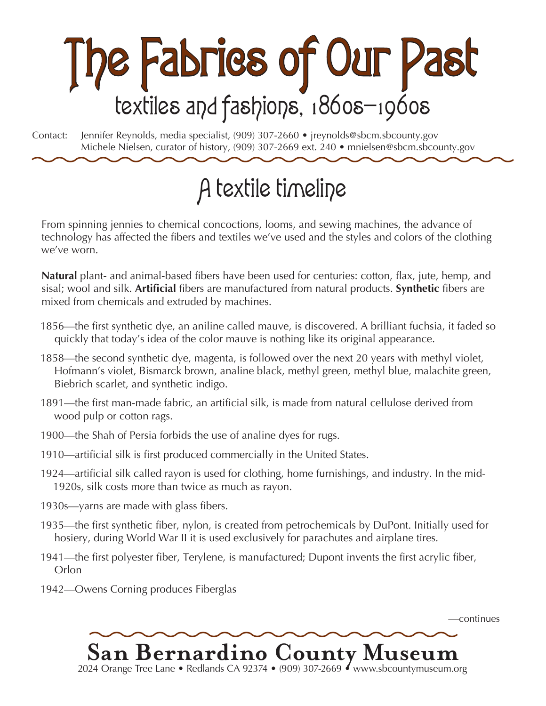

Contact: Jennifer Reynolds, media specialist, (909) 307-2660 • jreynolds@sbcm.sbcounty.gov Michele Nielsen, curator of history, (909) 307-2669 ext. 240 • mnielsen@sbcm.sbcounty.gov

## A textile timeline

From spinning jennies to chemical concoctions, looms, and sewing machines, the advance of technology has affected the fibers and textiles we've used and the styles and colors of the clothing we've worn.

**Natural** plant- and animal-based fibers have been used for centuries: cotton, flax, jute, hemp, and sisal; wool and silk. **Artificial** fibers are manufactured from natural products. **Synthetic** fibers are mixed from chemicals and extruded by machines.

- 1856—the first synthetic dye, an aniline called mauve, is discovered. A brilliant fuchsia, it faded so quickly that today's idea of the color mauve is nothing like its original appearance.
- 1858—the second synthetic dye, magenta, is followed over the next 20 years with methyl violet, Hofmann's violet, Bismarck brown, analine black, methyl green, methyl blue, malachite green, Biebrich scarlet, and synthetic indigo.
- 1891—the first man-made fabric, an artificial silk, is made from natural cellulose derived from wood pulp or cotton rags.
- 1900—the Shah of Persia forbids the use of analine dyes for rugs.
- 1910—artificial silk is first produced commercially in the United States.
- 1924—artificial silk called rayon is used for clothing, home furnishings, and industry. In the mid-1920s, silk costs more than twice as much as rayon.
- 1930s—yarns are made with glass fibers.
- 1935—the first synthetic fiber, nylon, is created from petrochemicals by DuPont. Initially used for hosiery, during World War II it is used exclusively for parachutes and airplane tires.
- 1941—the first polyester fiber, Terylene, is manufactured; Dupont invents the first acrylic fiber, Orlon
- 1942—Owens Corning produces Fiberglas



—continues